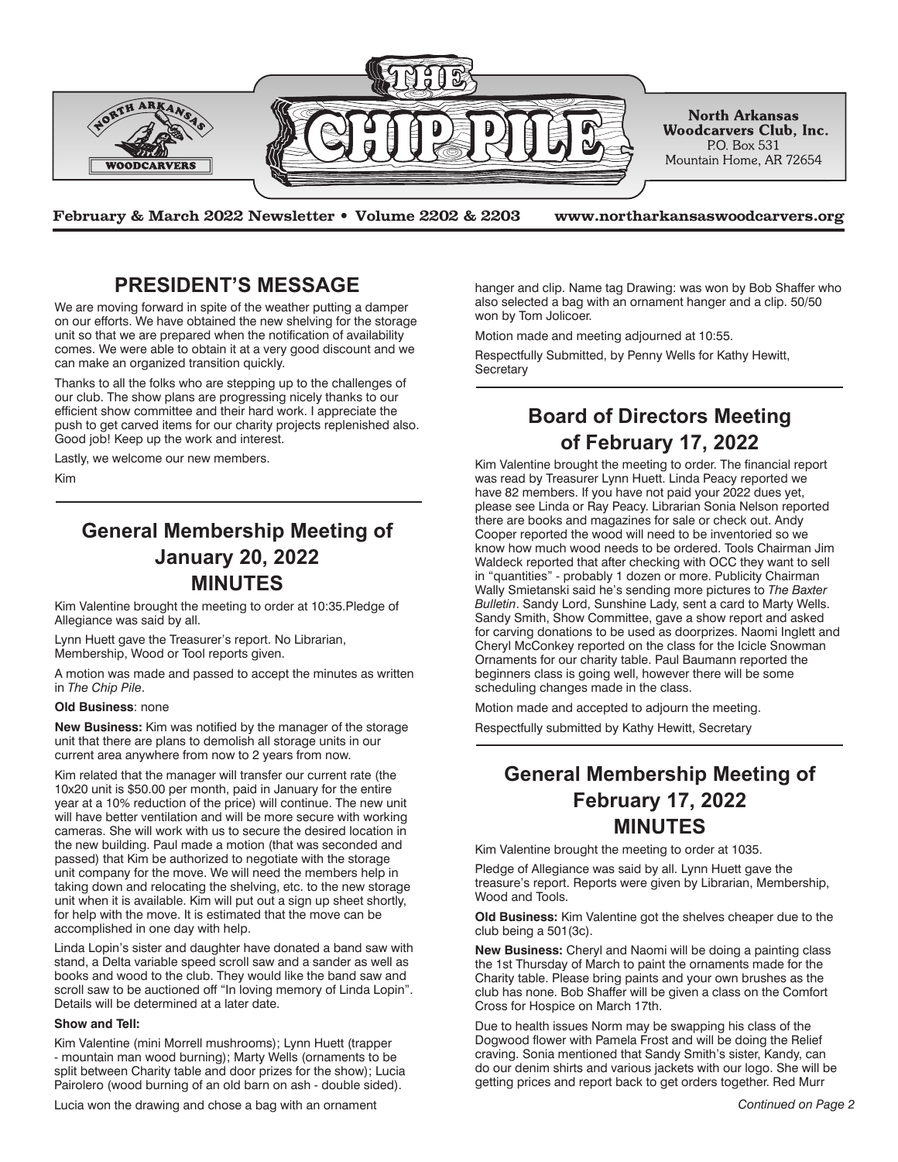

**February & March 2022 Newsletter • Volume 2202 & 2203 www.northarkansaswoodcarvers.org**

### **PRESIDENT'S MESSAGE**

We are moving forward in spite of the weather putting a damper on our efforts. We have obtained the new shelving for the storage unit so that we are prepared when the notification of availability comes. We were able to obtain it at a very good discount and we can make an organized transition quickly.

Thanks to all the folks who are stepping up to the challenges of our club. The show plans are progressing nicely thanks to our efficient show committee and their hard work. I appreciate the push to get carved items for our charity projects replenished also. Good job! Keep up the work and interest.

Lastly, we welcome our new members.

Kim

### **General Membership Meeting of January 20, 2022 MINUTES**

Kim Valentine brought the meeting to order at 10:35.Pledge of Allegiance was said by all.

Lynn Huett gave the Treasurer's report. No Librarian, Membership, Wood or Tool reports given.

A motion was made and passed to accept the minutes as written in *The Chip Pile*.

#### **Old Business**: none

**New Business:** Kim was notified by the manager of the storage unit that there are plans to demolish all storage units in our current area anywhere from now to 2 years from now.

Kim related that the manager will transfer our current rate (the 10x20 unit is \$50.00 per month, paid in January for the entire year at a 10% reduction of the price) will continue. The new unit will have better ventilation and will be more secure with working cameras. She will work with us to secure the desired location in the new building. Paul made a motion (that was seconded and passed) that Kim be authorized to negotiate with the storage unit company for the move. We will need the members help in taking down and relocating the shelving, etc. to the new storage unit when it is available. Kim will put out a sign up sheet shortly, for help with the move. It is estimated that the move can be accomplished in one day with help.

Linda Lopin's sister and daughter have donated a band saw with stand, a Delta variable speed scroll saw and a sander as well as books and wood to the club. They would like the band saw and scroll saw to be auctioned off "In loving memory of Linda Lopin". Details will be determined at a later date.

#### **Show and Tell:**

Kim Valentine (mini Morrell mushrooms); Lynn Huett (trapper - mountain man wood burning); Marty Wells (ornaments to be split between Charity table and door prizes for the show); Lucia Pairolero (wood burning of an old barn on ash - double sided).

Lucia won the drawing and chose a bag with an ornament *Continued on Page 2*

hanger and clip. Name tag Drawing: was won by Bob Shaffer who also selected a bag with an ornament hanger and a clip. 50/50 won by Tom Jolicoer.

Motion made and meeting adjourned at 10:55.

Respectfully Submitted, by Penny Wells for Kathy Hewitt, **Secretary** 

## **Board of Directors Meeting of February 17, 2022**

Kim Valentine brought the meeting to order. The financial report was read by Treasurer Lynn Huett. Linda Peacy reported we have 82 members. If you have not paid your 2022 dues yet, please see Linda or Ray Peacy. Librarian Sonia Nelson reported there are books and magazines for sale or check out. Andy Cooper reported the wood will need to be inventoried so we know how much wood needs to be ordered. Tools Chairman Jim Waldeck reported that after checking with OCC they want to sell in "quantities" - probably 1 dozen or more. Publicity Chairman Wally Smietanski said he's sending more pictures to *The Baxter Bulletin*. Sandy Lord, Sunshine Lady, sent a card to Marty Wells. Sandy Smith, Show Committee, gave a show report and asked for carving donations to be used as doorprizes. Naomi Inglett and Cheryl McConkey reported on the class for the Icicle Snowman Ornaments for our charity table. Paul Baumann reported the beginners class is going well, however there will be some scheduling changes made in the class.

Motion made and accepted to adjourn the meeting.

Respectfully submitted by Kathy Hewitt, Secretary

# **General Membership Meeting of February 17, 2022 MINUTES**

Kim Valentine brought the meeting to order at 1035.

Pledge of Allegiance was said by all. Lynn Huett gave the treasure's report. Reports were given by Librarian, Membership, Wood and Tools.

**Old Business:** Kim Valentine got the shelves cheaper due to the club being a 501(3c).

**New Business:** Cheryl and Naomi will be doing a painting class the 1st Thursday of March to paint the ornaments made for the Charity table. Please bring paints and your own brushes as the club has none. Bob Shaffer will be given a class on the Comfort Cross for Hospice on March 17th.

Due to health issues Norm may be swapping his class of the Dogwood flower with Pamela Frost and will be doing the Relief craving. Sonia mentioned that Sandy Smith's sister, Kandy, can do our denim shirts and various jackets with our logo. She will be getting prices and report back to get orders together. Red Murr